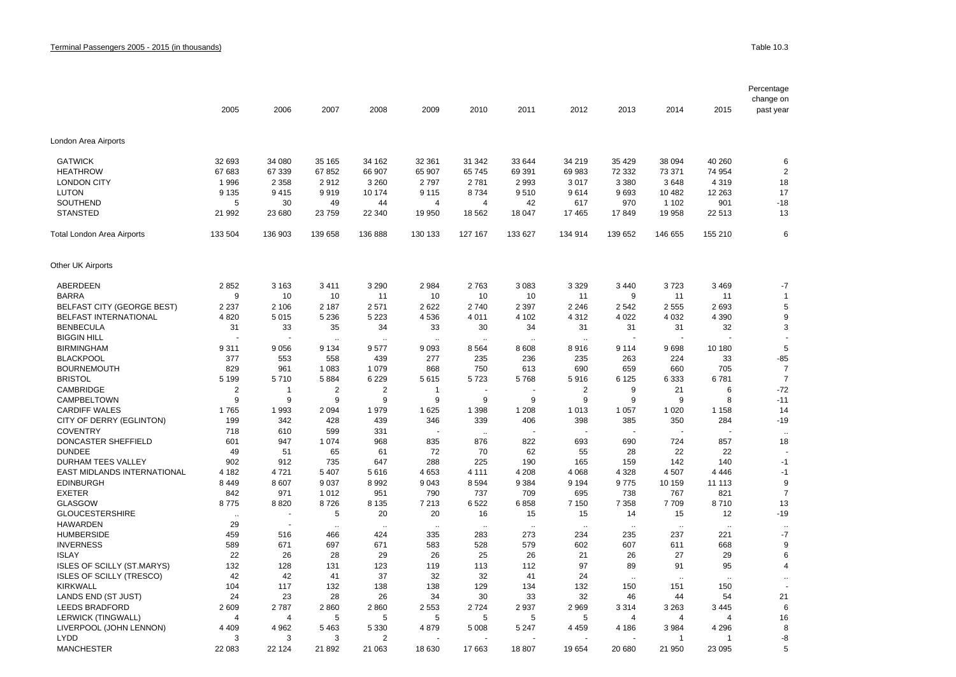|                                   | 2005           | 2006           | 2007      | 2008                 | 2009                 | 2010                 | 2011                 | 2012           | 2013                 | 2014      | 2015                 | Percentage<br>change on<br>past year |
|-----------------------------------|----------------|----------------|-----------|----------------------|----------------------|----------------------|----------------------|----------------|----------------------|-----------|----------------------|--------------------------------------|
|                                   |                |                |           |                      |                      |                      |                      |                |                      |           |                      |                                      |
| London Area Airports              |                |                |           |                      |                      |                      |                      |                |                      |           |                      |                                      |
| <b>GATWICK</b>                    | 32 693         | 34 080         | 35 165    | 34 162               | 32 361               | 31 342               | 33 644               | 34 219         | 35 4 29              | 38 094    | 40 260               | 6                                    |
| <b>HEATHROW</b>                   | 67 683         | 67 339         | 67852     | 66 907               | 65 907               | 65 745               | 69 391               | 69 983         | 72 332               | 73 371    | 74 954               | $\overline{2}$                       |
| <b>LONDON CITY</b>                | 1996           | 2 3 5 8        | 2912      | 3 2 6 0              | 2 7 9 7              | 2781                 | 2 9 9 3              | 3017           | 3 3 8 0              | 3648      | 4 3 1 9              | 18                                   |
| <b>LUTON</b>                      | 9 1 3 5        | 9415           | 9919      | 10 174               | 9 1 1 5              | 8734                 | 9510                 | 9614           | 9693                 | 10 482    | 12 263               | 17                                   |
| <b>SOUTHEND</b>                   | 5              | 30             | 49        | 44                   | $\overline{4}$       | $\overline{4}$       | 42                   | 617            | 970                  | 1 1 0 2   | 901                  | $-18$                                |
| <b>STANSTED</b>                   | 21 992         | 23 680         | 23759     | 22 340               | 19 950               | 18 5 62              | 18 047               | 17465          | 17849                | 19 958    | 22 513               | 13                                   |
| Total London Area Airports        | 133 504        | 136 903        | 139 658   | 136 888              | 130 133              | 127 167              | 133 627              | 134 914        | 139 652              | 146 655   | 155 210              | 6                                    |
| Other UK Airports                 |                |                |           |                      |                      |                      |                      |                |                      |           |                      |                                      |
| ABERDEEN                          | 2852           | 3 1 6 3        | 3 4 1 1   | 3 2 9 0              | 2 9 8 4              | 2763                 | 3 0 8 3              | 3 3 2 9        | 3 4 4 0              | 3723      | 3 4 6 9              | $-7$                                 |
| <b>BARRA</b>                      | 9              | 10             | 10        | 11                   | 10                   | 10                   | 10                   | 11             | 9                    | 11        | 11                   | $\overline{1}$                       |
| <b>BELFAST CITY (GEORGE BEST)</b> | 2 2 3 7        | 2 10 6         | 2 1 8 7   | 2571                 | 2622                 | 2740                 | 2 3 9 7              | 2 2 4 6        | 2542                 | 2555      | 2693                 | 5                                    |
| BELFAST INTERNATIONAL             | 4 8 20         | 5 0 1 5        | 5 2 3 6   | 5 2 2 3              | 4 5 3 6              | 4 0 1 1              | 4 102                | 4 3 1 2        | 4 0 2 2              | 4 0 3 2   | 4 3 9 0              | $\boldsymbol{9}$                     |
| <b>BENBECULA</b>                  | 31             | 33             | 35        | 34                   | 33                   | 30                   | 34                   | 31             | 31                   | 31        | 32                   | 3                                    |
| <b>BIGGIN HILL</b>                |                |                |           |                      |                      |                      |                      |                |                      |           |                      |                                      |
| <b>BIRMINGHAM</b>                 | 9311           | 9056           | 9 1 3 4   | 9577                 | 9093                 | 8 5 6 4              | 8 6 0 8              | 8916           | 9 1 1 4              | 9698      | 10 180               | 5                                    |
| <b>BLACKPOOL</b>                  | 377            | 553            | 558       | 439                  | 277                  | 235                  | 236                  | 235            | 263                  | 224       | 33                   | $-85$                                |
| <b>BOURNEMOUTH</b>                | 829            | 961            | 1 0 8 3   | 1 0 7 9              | 868                  | 750                  | 613                  | 690            | 659                  | 660       | 705                  | $\overline{7}$                       |
| <b>BRISTOL</b>                    | 5 1 9 9        | 5710           | 5884      | 6 2 2 9              | 5615                 | 5723                 | 5768                 | 5916           | 6 1 2 5              | 6 3 3 3   | 6781                 | $\overline{7}$                       |
| <b>CAMBRIDGE</b>                  | $\overline{2}$ | 1              | 2         | 2                    | 1                    |                      |                      | $\overline{2}$ | 9                    | 21        | 6                    | $-72$                                |
| CAMPBELTOWN                       | 9              | 9              | 9         | 9                    | 9                    | 9                    | 9                    | 9              | 9                    | 9         | 8                    | $-11$                                |
| <b>CARDIFF WALES</b>              | 1765           | 1993           | 2 0 9 4   | 1979                 | 1 6 2 5              | 1 3 9 8              | 1 208                | 1 0 1 3        | 1 0 5 7              | 1 0 2 0   | 1 1 5 8              | 14                                   |
| CITY OF DERRY (EGLINTON)          | 199            | 342            | 428       | 439                  | 346                  | 339                  | 406                  | 398            | 385                  | 350       | 284                  | $-19$                                |
| <b>COVENTRY</b>                   | 718            | 610            | 599       | 331                  |                      | $\ddot{\phantom{0}}$ |                      |                |                      |           |                      | $\ddot{\phantom{a}}$                 |
| DONCASTER SHEFFIELD               | 601            | 947            | 1 0 7 4   | 968                  | 835                  | 876                  | 822                  | 693            | 690                  | 724       | 857                  | 18                                   |
| <b>DUNDEE</b>                     | 49             | 51             | 65        | 61                   | 72                   | 70                   | 62                   | 55             | 28                   | 22        | 22                   |                                      |
| <b>DURHAM TEES VALLEY</b>         | 902            | 912            | 735       | 647                  | 288                  | 225                  | 190                  | 165            | 159                  | 142       | 140                  | $-1$                                 |
| EAST MIDLANDS INTERNATIONAL       | 4 1 8 2        | 4721           | 5 4 0 7   | 5616                 | 4 6 5 3              | 4 1 1 1              | 4 2 0 8              | 4 0 6 8        | 4 3 2 8              | 4507      | 4 4 4 6              | $-1$                                 |
| <b>EDINBURGH</b>                  | 8 4 4 9        | 8 607          | 9 0 3 7   | 8992                 | 9 0 4 3              | 8 5 9 4              | 9 3 8 4              | 9 1 9 4        | 9775                 | 10 159    | 11 113               | 9                                    |
| <b>EXETER</b>                     | 842            | 971            | 1 0 1 2   | 951                  | 790                  | 737                  | 709                  | 695            | 738                  | 767       | 821                  | $\overline{7}$                       |
| <b>GLASGOW</b>                    | 8775           | 8820           | 8726      | 8 1 3 5              | 7 2 1 3              | 6522                 | 6858                 | 7 1 5 0        | 7 3 5 8              | 7709      | 8710                 | 13                                   |
| <b>GLOUCESTERSHIRE</b>            |                |                | 5         | 20                   | 20                   | 16                   | 15                   | 15             | 14                   | 15        | 12                   | $-19$                                |
| <b>HAWARDEN</b>                   | 29             | Ĭ.             | $\ddotsc$ | $\ddot{\phantom{a}}$ | $\ddot{\phantom{a}}$ | $\ddot{\phantom{0}}$ | $\ddot{\phantom{a}}$ | $\cdot$        | $\sim$               | $\ddotsc$ | $\ddot{\phantom{a}}$ | $\ddotsc$                            |
| <b>HUMBERSIDE</b>                 | 459            | 516            | 466       | 424                  | 335                  | 283                  | 273                  | 234            | 235                  | 237       | 221                  | $-7$                                 |
| <b>INVERNESS</b>                  | 589            | 671            | 697       | 671                  | 583                  | 528                  | 579                  | 602            | 607                  | 611       | 668                  | 9                                    |
| <b>ISLAY</b>                      | 22             | 26             | 28        | 29                   | 26                   | 25                   | 26                   | 21             | 26                   | 27        | 29                   | 6                                    |
| <b>ISLES OF SCILLY (ST.MARYS)</b> | 132            | 128            | 131       | 123                  | 119                  | 113                  | 112                  | 97             | 89                   | 91        | 95                   | $\overline{4}$                       |
| <b>ISLES OF SCILLY (TRESCO)</b>   | 42             | 42             | 41        | 37                   | 32                   | 32                   | 41                   | 24             | $\ddot{\phantom{a}}$ | $\ddotsc$ |                      |                                      |
| <b>KIRKWALL</b>                   | 104            | 117            | 132       | 138                  | 138                  | 129                  | 134                  | 132            | 150                  | 151       | 150                  |                                      |
| LANDS END (ST JUST)               | 24             | 23             | 28        | 26                   | 34                   | 30                   | 33                   | 32             | 46                   | 44        | 54                   | 21                                   |
| <b>LEEDS BRADFORD</b>             | 2609           | 2787           | 2860      | 2860                 | 2 5 5 3              | 2 7 2 4              | 2 9 3 7              | 2969           | 3314                 | 3 2 6 3   | 3 4 4 5              | 6                                    |
| <b>LERWICK (TINGWALL)</b>         | $\overline{4}$ | $\overline{4}$ | 5         | 5                    | 5                    | 5                    | 5                    | 5              | 4                    | 4         | $\overline{4}$       | 16                                   |
| LIVERPOOL (JOHN LENNON)           | 4 4 0 9        | 4 9 6 2        | 5 4 6 3   | 5 3 3 0              | 4879                 | 5 0 0 8              | 5 2 4 7              | 4 4 5 9        | 4 186                | 3984      | 4 2 9 6              | 8                                    |
| <b>LYDD</b>                       | 3              | 3              | 3         | $\overline{2}$       |                      |                      |                      |                |                      | -1        | -1                   | -8                                   |
| <b>MANCHESTER</b>                 | 22 083         | 22 124         | 21892     | 21 063               | 18 630               | 17 663               | 18807                | 19654          | 20 680               | 21 950    | 23 095               | 5                                    |